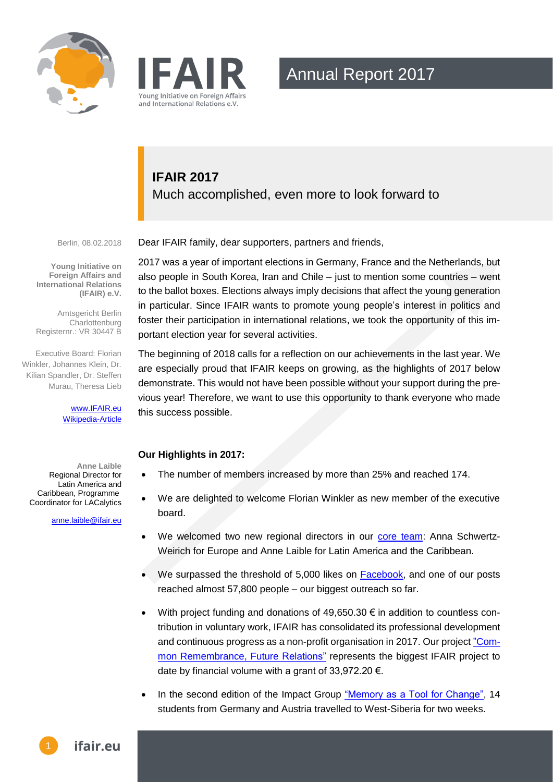



## **IFAIR 2017** Much accomplished, even more to look forward to

Berlin, 08.02.2018

**Young Initiative on Foreign Affairs and International Relations (IFAIR) e.V.**

Amtsgericht Berlin Charlottenburg Registernr.: VR 30447 B

Executive Board: Florian Winkler, Johannes Klein, Dr. Kilian Spandler, Dr. Steffen Murau, Theresa Lieb

> [www.IFAIR.eu](http://www.ifair.eu/) [Wikipedia-Article](https://en.wikipedia.org/wiki/Young_Initiative_on_Foreign_Affairs_and_International_Relations)

**Anne Laible** Regional Director for Latin America and Caribbean, Programme Coordinator for LACalytics

[anne.laible@ifair.eu](mailto:Alexander.Pyka@ifair.eu)

Dear IFAIR family, dear supporters, partners and friends,

2017 was a year of important elections in Germany, France and the Netherlands, but also people in South Korea, Iran and Chile – just to mention some countries – went to the ballot boxes. Elections always imply decisions that affect the young generation in particular. Since IFAIR wants to promote young people's interest in politics and foster their participation in international relations, we took the opportunity of this important election year for several activities.

The beginning of 2018 calls for a reflection on our achievements in the last year. We are especially proud that IFAIR keeps on growing, as the highlights of 2017 below demonstrate. This would not have been possible without your support during the previous year! Therefore, we want to use this opportunity to thank everyone who made this success possible.

### **Our Highlights in 2017:**

- The number of members increased by more than 25% and reached 174.
- We are delighted to welcome Florian Winkler as new member of the executive board.
- We welcomed two new regional directors in our [core team:](http://ifair.eu/our-team/) Anna Schwertz-Weirich for Europe and Anne Laible for Latin America and the Caribbean.
- We surpassed the threshold of 5,000 likes on [Facebook,](https://www.facebook.com/ifair.eu/) and one of our posts reached almost 57,800 people – our biggest outreach so far.
- $\bullet$  With project funding and donations of 49,650.30  $\epsilon$  in addition to countless contribution in voluntary work, IFAIR has consolidated its professional development and continuous progress as a non-profit organisation in 2017. Our projec[t "Com](http://ifair.eu/impact-groups-en/common-remembrance-future-relations/)[mon Remembrance, Future](http://ifair.eu/impact-groups-en/common-remembrance-future-relations/) Relations" represents the biggest IFAIR project to date by financial volume with a grant of 33,972.20 €.
- In the second edition of the Impact Group ["Memory as a Tool for Change",](http://ifair.eu/impact-groups-en/memory-tool-change/) 14 students from Germany and Austria travelled to West-Siberia for two weeks.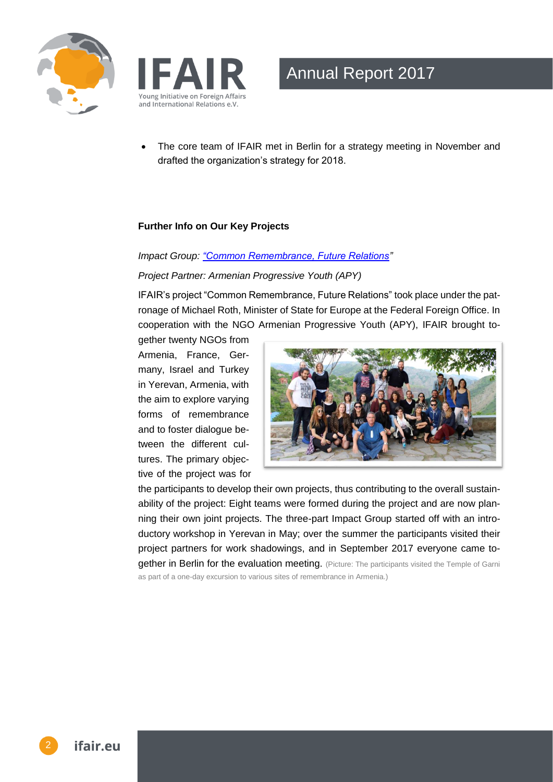



 The core team of IFAIR met in Berlin for a strategy meeting in November and drafted the organization's strategy for 2018.

#### **Further Info on Our Key Projects**

#### *Impact Group: ["Common Remembrance, Future Relations"](http://ifair.eu/impact-groups-en/common-remembrance-future-relations/)*

#### *Project Partner: Armenian Progressive Youth (APY)*

IFAIR's project "Common Remembrance, Future Relations" took place under the patronage of Michael Roth, Minister of State for Europe at the Federal Foreign Office. In cooperation with the NGO Armenian Progressive Youth (APY), IFAIR brought to-

gether twenty NGOs from Armenia, France, Germany, Israel and Turkey in Yerevan, Armenia, with the aim to explore varying forms of remembrance and to foster dialogue between the different cultures. The primary objective of the project was for



the participants to develop their own projects, thus contributing to the overall sustainability of the project: Eight teams were formed during the project and are now planning their own joint projects. The three-part Impact Group started off with an introductory workshop in Yerevan in May; over the summer the participants visited their project partners for work shadowings, and in September 2017 everyone came together in Berlin for the evaluation meeting. (Picture: The participants visited the Temple of Garni

as part of a one-day excursion to various sites of remembrance in Armenia.)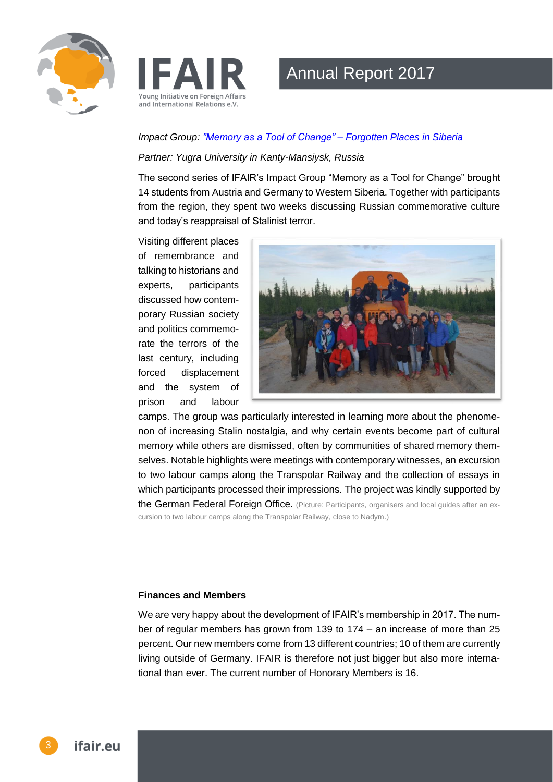



#### *Impact Group: ["Memory as a Tool of Change" –](http://ifair.eu/impact-groups-en/memory-tool-change/) Forgotten Places in Siberia*

#### *Partner: Yugra University in Kanty-Mansiysk, Russia*

The second series of IFAIR's Impact Group "Memory as a Tool for Change" brought 14 students from Austria and Germany to Western Siberia. Together with participants from the region, they spent two weeks discussing Russian commemorative culture and today's reappraisal of Stalinist terror.

Visiting different places of remembrance and talking to historians and experts, participants discussed how contemporary Russian society and politics commemorate the terrors of the last century, including forced displacement and the system of prison and labour



camps. The group was particularly interested in learning more about the phenomenon of increasing Stalin nostalgia, and why certain events become part of cultural memory while others are dismissed, often by communities of shared memory themselves. Notable highlights were meetings with contemporary witnesses, an excursion to two labour camps along the Transpolar Railway and the collection of essays in which participants processed their impressions. The project was kindly supported by the German Federal Foreign Office. (Picture: Participants, organisers and local guides after an excursion to two labour camps along the Transpolar Railway, close to Nadym.)

#### **Finances and Members**

We are very happy about the development of IFAIR's membership in 2017. The number of regular members has grown from 139 to 174 – an increase of more than 25 percent. Our new members come from 13 different countries; 10 of them are currently living outside of Germany. IFAIR is therefore not just bigger but also more international than ever. The current number of Honorary Members is 16.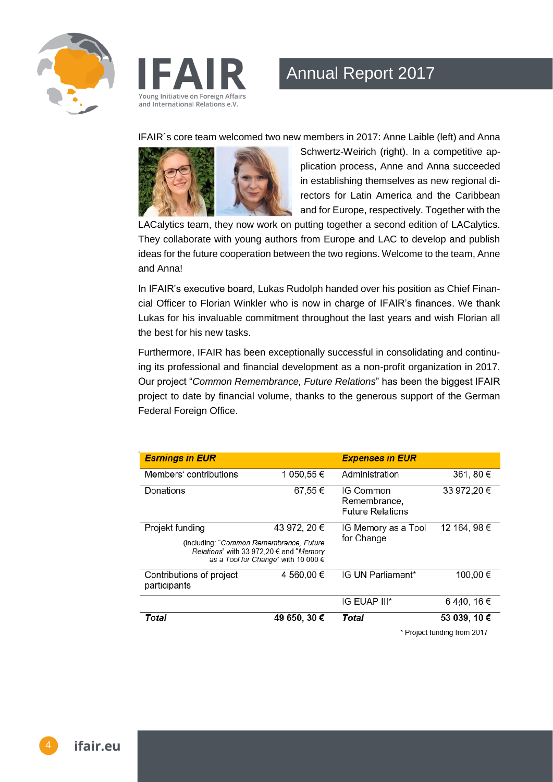



IFAIR´s core team welcomed two new members in 2017: Anne Laible (left) and Anna



Schwertz-Weirich (right). In a competitive application process, Anne and Anna succeeded in establishing themselves as new regional directors for Latin America and the Caribbean and for Europe, respectively. Together with the

LACalytics team, they now work on putting together a second edition of LACalytics. They collaborate with young authors from Europe and LAC to develop and publish ideas for the future cooperation between the two regions. Welcome to the team, Anne and Anna!

In IFAIR's executive board, Lukas Rudolph handed over his position as Chief Financial Officer to Florian Winkler who is now in charge of IFAIR's finances. We thank Lukas for his invaluable commitment throughout the last years and wish Florian all the best for his new tasks.

Furthermore, IFAIR has been exceptionally successful in consolidating and continuing its professional and financial development as a non-profit organization in 2017. Our project "*Common Remembrance, Future Relations*" has been the biggest IFAIR project to date by financial volume, thanks to the generous support of the German Federal Foreign Office.

| <b>Earnings in EUR</b>                                                                                                                    |              | <b>Expenses in EUR</b>                                      |              |
|-------------------------------------------------------------------------------------------------------------------------------------------|--------------|-------------------------------------------------------------|--------------|
| Members' contributions                                                                                                                    | 1 050,55 €   | Administration                                              | 361, 80 €    |
| Donations                                                                                                                                 | 67,55€       | <b>IG Common</b><br>Remembrance,<br><b>Future Relations</b> | 33 972,20 €  |
| Projekt funding                                                                                                                           | 43 972, 20 € | IG Memory as a Tool                                         | 12 164, 98 € |
| (including: "Common Remembrance, Future<br><i>Relations</i> " with 33 972,20 € and " <i>Memory</i><br>as a Tool for Change" with 10 000 € |              | for Change                                                  |              |
| Contributions of project<br>participants                                                                                                  | 4 560,00 €   | IG UN Parliament*                                           | 100,00€      |
|                                                                                                                                           |              | IG EUAP III*                                                | 6440, 16€    |
| Total                                                                                                                                     | 49 650, 30 € | Total                                                       | 53 039, 10 € |
|                                                                                                                                           |              | * Project funding from 2017                                 |              |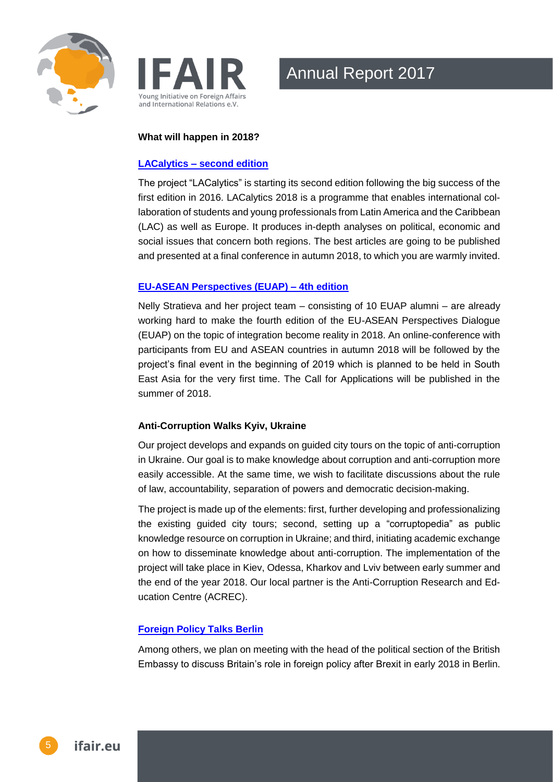



#### **What will happen in 2018?**

#### **LACalytics – [second edition](http://ifair.eu/impact-groups-en/lacalytics/)**

The project "LACalytics" is starting its second edition following the big success of the first edition in 2016. LACalytics 2018 is a programme that enables international collaboration of students and young professionals from Latin America and the Caribbean (LAC) as well as Europe. It produces in-depth analyses on political, economic and social issues that concern both regions. The best articles are going to be published and presented at a final conference in autumn 2018, to which you are warmly invited.

### **[EU-ASEAN Perspectives \(EUAP\) –](http://ifair.eu/impact-groups-en/eu-asean-perspectives/) 4th edition**

Nelly Stratieva and her project team – consisting of 10 EUAP alumni – are already working hard to make the fourth edition of the EU-ASEAN Perspectives Dialogue (EUAP) on the topic of integration become reality in 2018. An online-conference with participants from EU and ASEAN countries in autumn 2018 will be followed by the project's final event in the beginning of 2019 which is planned to be held in South East Asia for the very first time. The Call for Applications will be published in the summer of 2018.

### **Anti-Corruption Walks Kyiv, Ukraine**

Our project develops and expands on guided city tours on the topic of anti-corruption in Ukraine. Our goal is to make knowledge about corruption and anti-corruption more easily accessible. At the same time, we wish to facilitate discussions about the rule of law, accountability, separation of powers and democratic decision-making.

The project is made up of the elements: first, further developing and professionalizing the existing guided city tours; second, setting up a "corruptopedia" as public knowledge resource on corruption in Ukraine; and third, initiating academic exchange on how to disseminate knowledge about anti-corruption. The implementation of the project will take place in Kiev, Odessa, Kharkov and Lviv between early summer and the end of the year 2018. Our local partner is the Anti-Corruption Research and Education Centre (ACREC).

### **[Foreign Policy Talks Berlin](http://ifair.eu/impact-groups-en/foreign-policy-talks/)**

Among others, we plan on meeting with the head of the political section of the British Embassy to discuss Britain's role in foreign policy after Brexit in early 2018 in Berlin.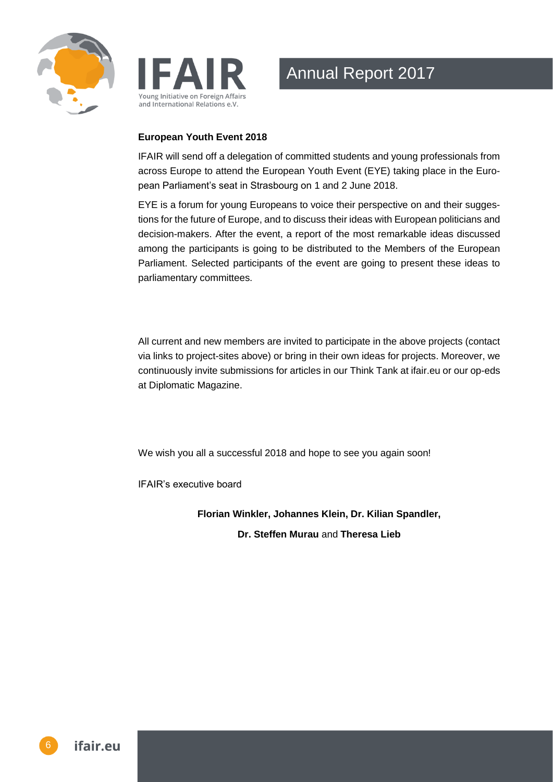



#### **European Youth Event 2018**

IFAIR will send off a delegation of committed students and young professionals from across Europe to attend the European Youth Event (EYE) taking place in the European Parliament's seat in Strasbourg on 1 and 2 June 2018.

EYE is a forum for young Europeans to voice their perspective on and their suggestions for the future of Europe, and to discuss their ideas with European politicians and decision-makers. After the event, a report of the most remarkable ideas discussed among the participants is going to be distributed to the Members of the European Parliament. Selected participants of the event are going to present these ideas to parliamentary committees.

All current and new members are invited to participate in the above projects (contact via links to project-sites above) or bring in their own ideas for projects. Moreover, we continuously invite submissions for articles in our Think Tank at ifair.eu or our op-eds at Diplomatic Magazine.

We wish you all a successful 2018 and hope to see you again soon!

IFAIR's executive board

**Florian Winkler, Johannes Klein, Dr. Kilian Spandler,** 

**Dr. Steffen Murau** and **Theresa Lieb**